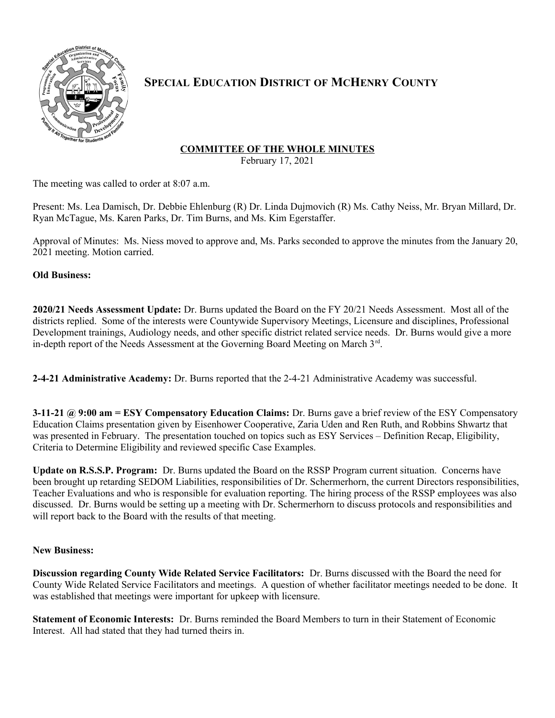

# **SPECIAL EDUCATION DISTRICT OF MCHENRY COUNTY**

## **COMMITTEE OF THE WHOLE MINUTES**

February 17, 2021

The meeting was called to order at 8:07 a.m.

Present: Ms. Lea Damisch, Dr. Debbie Ehlenburg (R) Dr. Linda Dujmovich (R) Ms. Cathy Neiss, Mr. Bryan Millard, Dr. Ryan McTague, Ms. Karen Parks, Dr. Tim Burns, and Ms. Kim Egerstaffer.

Approval of Minutes: Ms. Niess moved to approve and, Ms. Parks seconded to approve the minutes from the January 20, 2021 meeting. Motion carried.

**Old Business:**

**2020/21 Needs Assessment Update:** Dr. Burns updated the Board on the FY 20/21 Needs Assessment. Most all of the districts replied. Some of the interests were Countywide Supervisory Meetings, Licensure and disciplines, Professional Development trainings, Audiology needs, and other specific district related service needs. Dr. Burns would give a more in-depth report of the Needs Assessment at the Governing Board Meeting on March 3rd.

**2-4-21 Administrative Academy:** Dr. Burns reported that the 2-4-21 Administrative Academy was successful.

**3-11-21 @ 9:00 am = ESY Compensatory Education Claims:** Dr. Burns gave a brief review of the ESY Compensatory Education Claims presentation given by Eisenhower Cooperative, Zaria Uden and Ren Ruth, and Robbins Shwartz that was presented in February. The presentation touched on topics such as ESY Services – Definition Recap, Eligibility, Criteria to Determine Eligibility and reviewed specific Case Examples.

**Update on R.S.S.P. Program:** Dr. Burns updated the Board on the RSSP Program current situation. Concerns have been brought up retarding SEDOM Liabilities, responsibilities of Dr. Schermerhorn, the current Directors responsibilities, Teacher Evaluations and who is responsible for evaluation reporting. The hiring process of the RSSP employees was also discussed. Dr. Burns would be setting up a meeting with Dr. Schermerhorn to discuss protocols and responsibilities and will report back to the Board with the results of that meeting.

## **New Business:**

**Discussion regarding County Wide Related Service Facilitators:** Dr. Burns discussed with the Board the need for County Wide Related Service Facilitators and meetings. A question of whether facilitator meetings needed to be done. It was established that meetings were important for upkeep with licensure.

**Statement of Economic Interests:** Dr. Burns reminded the Board Members to turn in their Statement of Economic Interest. All had stated that they had turned theirs in.